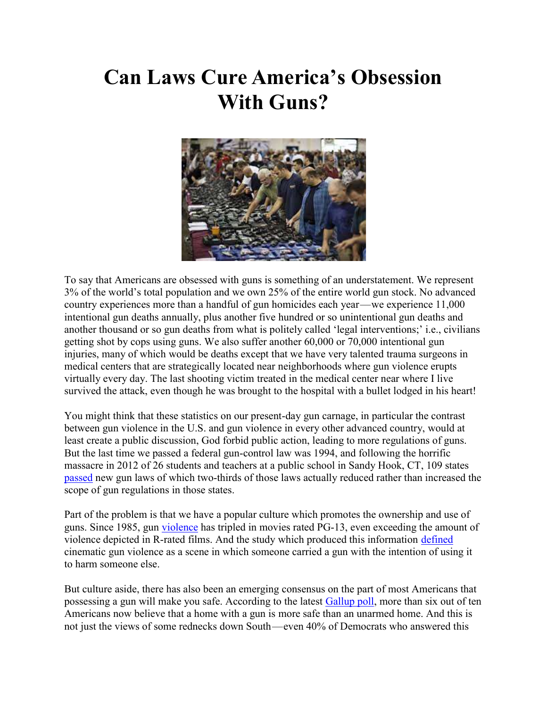# Can Laws Cure America's Obsession With Guns?



To say that Americans are obsessed with guns is something of an understatement. We represent 3% of the world's total population and we own 25% of the entire world gun stock. No advanced country experiences more than a handful of gun homicides each year—we experience 11,000 intentional gun deaths annually, plus another five hundred or so unintentional gun deaths and another thousand or so gun deaths from what is politely called 'legal interventions;' i.e., civilians getting shot by cops using guns. We also suffer another 60,000 or 70,000 intentional gun injuries, many of which would be deaths except that we have very talented trauma surgeons in medical centers that are strategically located near neighborhoods where gun violence erupts virtually every day. The last shooting victim treated in the medical center near where I live survived the attack, even though he was brought to the hospital with a bullet lodged in his heart!

You might think that these statistics on our present-day gun carnage, in particular the contrast between gun violence in the U.S. and gun violence in every other advanced country, would at least create a public discussion, God forbid public action, leading to more regulations of guns. But the last time we passed a federal gun-control law was 1994, and following the horrific massacre in 2012 of 26 students and teachers at a public school in Sandy Hook, CT, 109 states passed new gun laws of which two-thirds of those laws actually reduced rather than increased the scope of gun regulations in those states.

Part of the problem is that we have a popular culture which promotes the ownership and use of guns. Since 1985, gun violence has tripled in movies rated PG-13, even exceeding the amount of violence depicted in R-rated films. And the study which produced this information defined cinematic gun violence as a scene in which someone carried a gun with the intention of using it to harm someone else.

But culture aside, there has also been an emerging consensus on the part of most Americans that possessing a gun will make you safe. According to the latest Gallup poll, more than six out of ten Americans now believe that a home with a gun is more safe than an unarmed home. And this is not just the views of some rednecks down South—even 40% of Democrats who answered this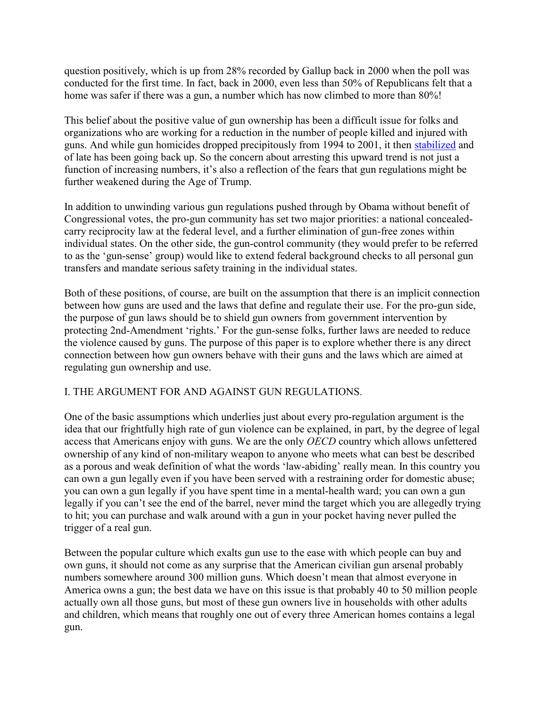question positively, which is up from 28% recorded by Gallup back in 2000 when the poll was conducted for the first time. In fact, back in 2000, even less than 50% of Republicans felt that a home was safer if there was a gun, a number which has now climbed to more than 80%!

This belief about the positive value of gun ownership has been a difficult issue for folks and organizations who are working for a reduction in the number of people killed and injured with guns. And while gun homicides dropped precipitously from 1994 to 2001, it then stabilized and of late has been going back up. So the concern about arresting this upward trend is not just a function of increasing numbers, it's also a reflection of the fears that gun regulations might be further weakened during the Age of Trump.

In addition to unwinding various gun regulations pushed through by Obama without benefit of Congressional votes, the pro-gun community has set two major priorities: a national concealedcarry reciprocity law at the federal level, and a further elimination of gun-free zones within individual states. On the other side, the gun-control community (they would prefer to be referred to as the 'gun-sense' group) would like to extend federal background checks to all personal gun transfers and mandate serious safety training in the individual states.

Both of these positions, of course, are built on the assumption that there is an implicit connection between how guns are used and the laws that define and regulate their use. For the pro-gun side, the purpose of gun laws should be to shield gun owners from government intervention by protecting 2nd-Amendment 'rights.' For the gun-sense folks, further laws are needed to reduce the violence caused by guns. The purpose of this paper is to explore whether there is any direct connection between how gun owners behave with their guns and the laws which are aimed at regulating gun ownership and use.

## I. THE ARGUMENT FOR AND AGAINST GUN REGULATIONS.

One of the basic assumptions which underlies just about every pro-regulation argument is the idea that our frightfully high rate of gun violence can be explained, in part, by the degree of legal access that Americans enjoy with guns. We are the only OECD country which allows unfettered ownership of any kind of non-military weapon to anyone who meets what can best be described as a porous and weak definition of what the words 'law-abiding' really mean. In this country you can own a gun legally even if you have been served with a restraining order for domestic abuse; you can own a gun legally if you have spent time in a mental-health ward; you can own a gun legally if you can't see the end of the barrel, never mind the target which you are allegedly trying to hit; you can purchase and walk around with a gun in your pocket having never pulled the trigger of a real gun.

Between the popular culture which exalts gun use to the ease with which people can buy and own guns, it should not come as any surprise that the American civilian gun arsenal probably numbers somewhere around 300 million guns. Which doesn't mean that almost everyone in America owns a gun; the best data we have on this issue is that probably 40 to 50 million people actually own all those guns, but most of these gun owners live in households with other adults and children, which means that roughly one out of every three American homes contains a legal gun.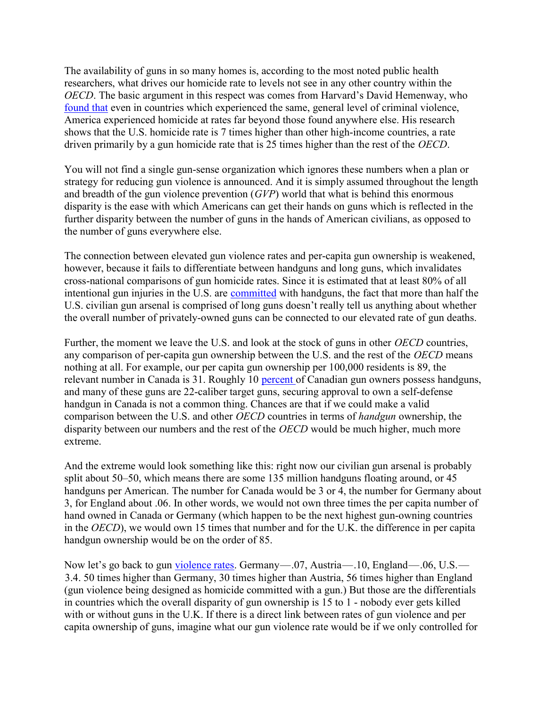The availability of guns in so many homes is, according to the most noted public health researchers, what drives our homicide rate to levels not see in any other country within the OECD. The basic argument in this respect was comes from Harvard's David Hemenway, who found that even in countries which experienced the same, general level of criminal violence, America experienced homicide at rates far beyond those found anywhere else. His research shows that the U.S. homicide rate is 7 times higher than other high-income countries, a rate driven primarily by a gun homicide rate that is 25 times higher than the rest of the OECD.

You will not find a single gun-sense organization which ignores these numbers when a plan or strategy for reducing gun violence is announced. And it is simply assumed throughout the length and breadth of the gun violence prevention  $(GVP)$  world that what is behind this enormous disparity is the ease with which Americans can get their hands on guns which is reflected in the further disparity between the number of guns in the hands of American civilians, as opposed to the number of guns everywhere else.

The connection between elevated gun violence rates and per-capita gun ownership is weakened, however, because it fails to differentiate between handguns and long guns, which invalidates cross-national comparisons of gun homicide rates. Since it is estimated that at least 80% of all intentional gun injuries in the U.S. are committed with handguns, the fact that more than half the U.S. civilian gun arsenal is comprised of long guns doesn't really tell us anything about whether the overall number of privately-owned guns can be connected to our elevated rate of gun deaths.

Further, the moment we leave the U.S. and look at the stock of guns in other *OECD* countries, any comparison of per-capita gun ownership between the U.S. and the rest of the OECD means nothing at all. For example, our per capita gun ownership per 100,000 residents is 89, the relevant number in Canada is 31. Roughly 10 percent of Canadian gun owners possess handguns, and many of these guns are 22-caliber target guns, securing approval to own a self-defense handgun in Canada is not a common thing. Chances are that if we could make a valid comparison between the U.S. and other *OECD* countries in terms of *handgun* ownership, the disparity between our numbers and the rest of the OECD would be much higher, much more extreme.

And the extreme would look something like this: right now our civilian gun arsenal is probably split about 50–50, which means there are some 135 million handguns floating around, or 45 handguns per American. The number for Canada would be 3 or 4, the number for Germany about 3, for England about .06. In other words, we would not own three times the per capita number of hand owned in Canada or Germany (which happen to be the next highest gun-owning countries in the OECD), we would own 15 times that number and for the U.K. the difference in per capita handgun ownership would be on the order of 85.

Now let's go back to gun violence rates. Germany—.07, Austria—.10, England—.06, U.S.— 3.4. 50 times higher than Germany, 30 times higher than Austria, 56 times higher than England (gun violence being designed as homicide committed with a gun.) But those are the differentials in countries which the overall disparity of gun ownership is 15 to 1 - nobody ever gets killed with or without guns in the U.K. If there is a direct link between rates of gun violence and per capita ownership of guns, imagine what our gun violence rate would be if we only controlled for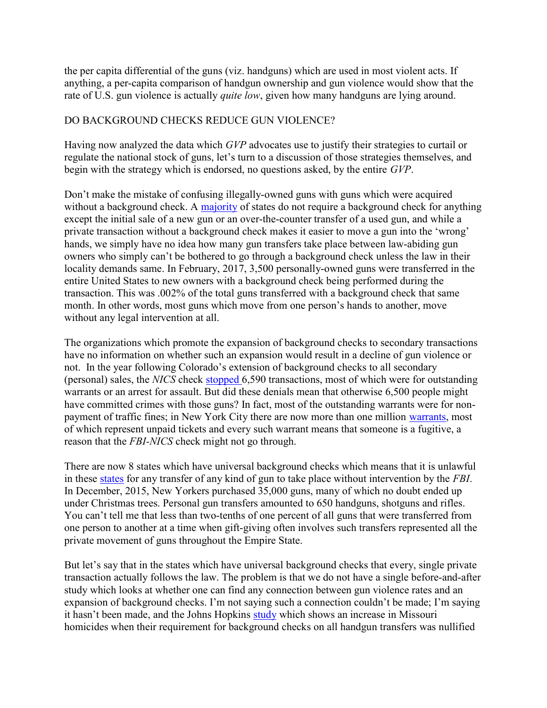the per capita differential of the guns (viz. handguns) which are used in most violent acts. If anything, a per-capita comparison of handgun ownership and gun violence would show that the rate of U.S. gun violence is actually *quite low*, given how many handguns are lying around.

### DO BACKGROUND CHECKS REDUCE GUN VIOLENCE?

Having now analyzed the data which GVP advocates use to justify their strategies to curtail or regulate the national stock of guns, let's turn to a discussion of those strategies themselves, and begin with the strategy which is endorsed, no questions asked, by the entire GVP.

Don't make the mistake of confusing illegally-owned guns with guns which were acquired without a background check. A majority of states do not require a background check for anything except the initial sale of a new gun or an over-the-counter transfer of a used gun, and while a private transaction without a background check makes it easier to move a gun into the 'wrong' hands, we simply have no idea how many gun transfers take place between law-abiding gun owners who simply can't be bothered to go through a background check unless the law in their locality demands same. In February, 2017, 3,500 personally-owned guns were transferred in the entire United States to new owners with a background check being performed during the transaction. This was .002% of the total guns transferred with a background check that same month. In other words, most guns which move from one person's hands to another, move without any legal intervention at all.

The organizations which promote the expansion of background checks to secondary transactions have no information on whether such an expansion would result in a decline of gun violence or not. In the year following Colorado's extension of background checks to all secondary (personal) sales, the NICS check stopped 6,590 transactions, most of which were for outstanding warrants or an arrest for assault. But did these denials mean that otherwise 6,500 people might have committed crimes with those guns? In fact, most of the outstanding warrants were for nonpayment of traffic fines; in New York City there are now more than one million warrants, most of which represent unpaid tickets and every such warrant means that someone is a fugitive, a reason that the FBI-NICS check might not go through.

There are now 8 states which have universal background checks which means that it is unlawful in these states for any transfer of any kind of gun to take place without intervention by the FBI. In December, 2015, New Yorkers purchased 35,000 guns, many of which no doubt ended up under Christmas trees. Personal gun transfers amounted to 650 handguns, shotguns and rifles. You can't tell me that less than two-tenths of one percent of all guns that were transferred from one person to another at a time when gift-giving often involves such transfers represented all the private movement of guns throughout the Empire State.

But let's say that in the states which have universal background checks that every, single private transaction actually follows the law. The problem is that we do not have a single before-and-after study which looks at whether one can find any connection between gun violence rates and an expansion of background checks. I'm not saying such a connection couldn't be made; I'm saying it hasn't been made, and the Johns Hopkins study which shows an increase in Missouri homicides when their requirement for background checks on all handgun transfers was nullified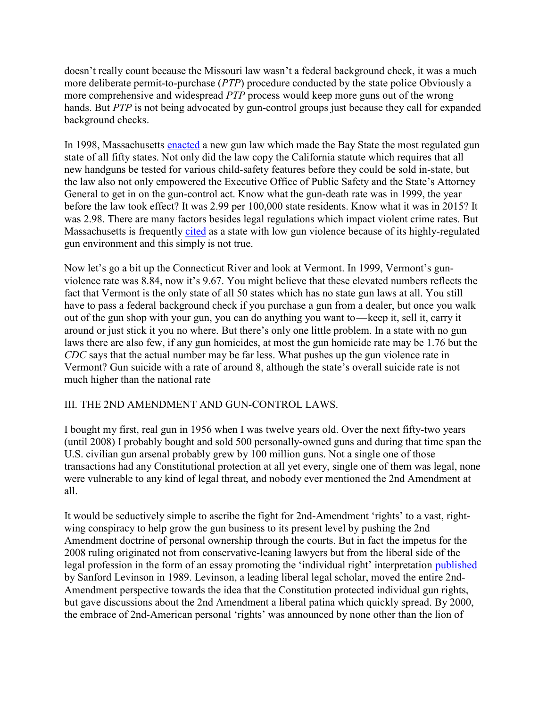doesn't really count because the Missouri law wasn't a federal background check, it was a much more deliberate permit-to-purchase (PTP) procedure conducted by the state police Obviously a more comprehensive and widespread PTP process would keep more guns out of the wrong hands. But PTP is not being advocated by gun-control groups just because they call for expanded background checks.

In 1998, Massachusetts enacted a new gun law which made the Bay State the most regulated gun state of all fifty states. Not only did the law copy the California statute which requires that all new handguns be tested for various child-safety features before they could be sold in-state, but the law also not only empowered the Executive Office of Public Safety and the State's Attorney General to get in on the gun-control act. Know what the gun-death rate was in 1999, the year before the law took effect? It was 2.99 per 100,000 state residents. Know what it was in 2015? It was 2.98. There are many factors besides legal regulations which impact violent crime rates. But Massachusetts is frequently cited as a state with low gun violence because of its highly-regulated gun environment and this simply is not true.

Now let's go a bit up the Connecticut River and look at Vermont. In 1999, Vermont's gunviolence rate was 8.84, now it's 9.67. You might believe that these elevated numbers reflects the fact that Vermont is the only state of all 50 states which has no state gun laws at all. You still have to pass a federal background check if you purchase a gun from a dealer, but once you walk out of the gun shop with your gun, you can do anything you want to—keep it, sell it, carry it around or just stick it you no where. But there's only one little problem. In a state with no gun laws there are also few, if any gun homicides, at most the gun homicide rate may be 1.76 but the CDC says that the actual number may be far less. What pushes up the gun violence rate in Vermont? Gun suicide with a rate of around 8, although the state's overall suicide rate is not much higher than the national rate

#### III. THE 2ND AMENDMENT AND GUN-CONTROL LAWS.

I bought my first, real gun in 1956 when I was twelve years old. Over the next fifty-two years (until 2008) I probably bought and sold 500 personally-owned guns and during that time span the U.S. civilian gun arsenal probably grew by 100 million guns. Not a single one of those transactions had any Constitutional protection at all yet every, single one of them was legal, none were vulnerable to any kind of legal threat, and nobody ever mentioned the 2nd Amendment at all.

It would be seductively simple to ascribe the fight for 2nd-Amendment 'rights' to a vast, rightwing conspiracy to help grow the gun business to its present level by pushing the 2nd Amendment doctrine of personal ownership through the courts. But in fact the impetus for the 2008 ruling originated not from conservative-leaning lawyers but from the liberal side of the legal profession in the form of an essay promoting the 'individual right' interpretation published by Sanford Levinson in 1989. Levinson, a leading liberal legal scholar, moved the entire 2nd-Amendment perspective towards the idea that the Constitution protected individual gun rights, but gave discussions about the 2nd Amendment a liberal patina which quickly spread. By 2000, the embrace of 2nd-American personal 'rights' was announced by none other than the lion of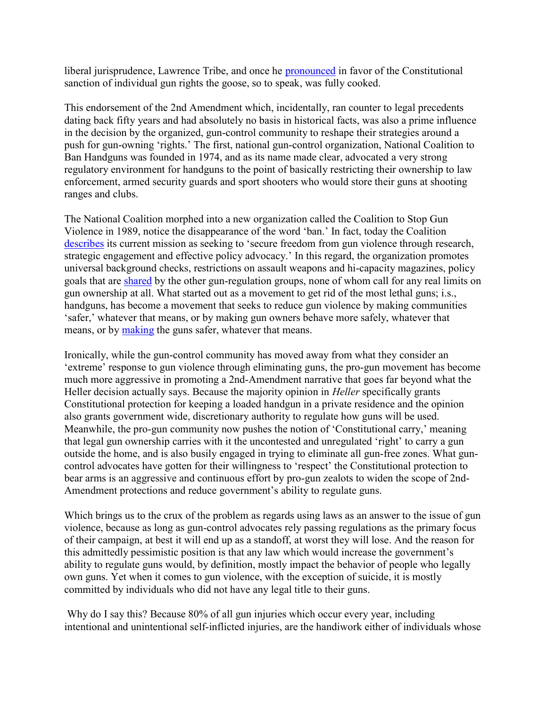liberal jurisprudence, Lawrence Tribe, and once he pronounced in favor of the Constitutional sanction of individual gun rights the goose, so to speak, was fully cooked.

This endorsement of the 2nd Amendment which, incidentally, ran counter to legal precedents dating back fifty years and had absolutely no basis in historical facts, was also a prime influence in the decision by the organized, gun-control community to reshape their strategies around a push for gun-owning 'rights.' The first, national gun-control organization, National Coalition to Ban Handguns was founded in 1974, and as its name made clear, advocated a very strong regulatory environment for handguns to the point of basically restricting their ownership to law enforcement, armed security guards and sport shooters who would store their guns at shooting ranges and clubs.

The National Coalition morphed into a new organization called the Coalition to Stop Gun Violence in 1989, notice the disappearance of the word 'ban.' In fact, today the Coalition describes its current mission as seeking to 'secure freedom from gun violence through research, strategic engagement and effective policy advocacy.' In this regard, the organization promotes universal background checks, restrictions on assault weapons and hi-capacity magazines, policy goals that are shared by the other gun-regulation groups, none of whom call for any real limits on gun ownership at all. What started out as a movement to get rid of the most lethal guns; i.s., handguns, has become a movement that seeks to reduce gun violence by making communities 'safer,' whatever that means, or by making gun owners behave more safely, whatever that means, or by making the guns safer, whatever that means.

Ironically, while the gun-control community has moved away from what they consider an 'extreme' response to gun violence through eliminating guns, the pro-gun movement has become much more aggressive in promoting a 2nd-Amendment narrative that goes far beyond what the Heller decision actually says. Because the majority opinion in *Heller* specifically grants Constitutional protection for keeping a loaded handgun in a private residence and the opinion also grants government wide, discretionary authority to regulate how guns will be used. Meanwhile, the pro-gun community now pushes the notion of 'Constitutional carry,' meaning that legal gun ownership carries with it the uncontested and unregulated 'right' to carry a gun outside the home, and is also busily engaged in trying to eliminate all gun-free zones. What guncontrol advocates have gotten for their willingness to 'respect' the Constitutional protection to bear arms is an aggressive and continuous effort by pro-gun zealots to widen the scope of 2nd-Amendment protections and reduce government's ability to regulate guns.

Which brings us to the crux of the problem as regards using laws as an answer to the issue of gun violence, because as long as gun-control advocates rely passing regulations as the primary focus of their campaign, at best it will end up as a standoff, at worst they will lose. And the reason for this admittedly pessimistic position is that any law which would increase the government's ability to regulate guns would, by definition, mostly impact the behavior of people who legally own guns. Yet when it comes to gun violence, with the exception of suicide, it is mostly committed by individuals who did not have any legal title to their guns.

Why do I say this? Because 80% of all gun injuries which occur every year, including intentional and unintentional self-inflicted injuries, are the handiwork either of individuals whose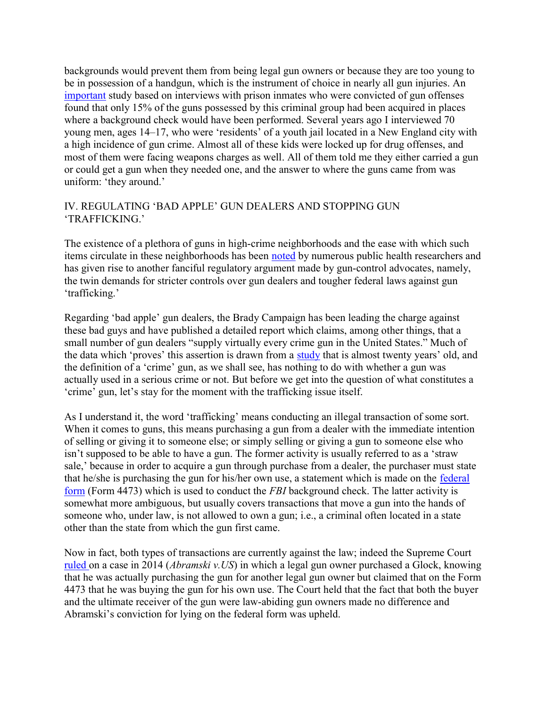backgrounds would prevent them from being legal gun owners or because they are too young to be in possession of a handgun, which is the instrument of choice in nearly all gun injuries. An important study based on interviews with prison inmates who were convicted of gun offenses found that only 15% of the guns possessed by this criminal group had been acquired in places where a background check would have been performed. Several years ago I interviewed 70 young men, ages 14–17, who were 'residents' of a youth jail located in a New England city with a high incidence of gun crime. Almost all of these kids were locked up for drug offenses, and most of them were facing weapons charges as well. All of them told me they either carried a gun or could get a gun when they needed one, and the answer to where the guns came from was uniform: 'they around.'

## IV. REGULATING 'BAD APPLE' GUN DEALERS AND STOPPING GUN 'TRAFFICKING.'

The existence of a plethora of guns in high-crime neighborhoods and the ease with which such items circulate in these neighborhoods has been noted by numerous public health researchers and has given rise to another fanciful regulatory argument made by gun-control advocates, namely, the twin demands for stricter controls over gun dealers and tougher federal laws against gun 'trafficking.'

Regarding 'bad apple' gun dealers, the Brady Campaign has been leading the charge against these bad guys and have published a detailed report which claims, among other things, that a small number of gun dealers "supply virtually every crime gun in the United States." Much of the data which 'proves' this assertion is drawn from a study that is almost twenty years' old, and the definition of a 'crime' gun, as we shall see, has nothing to do with whether a gun was actually used in a serious crime or not. But before we get into the question of what constitutes a 'crime' gun, let's stay for the moment with the trafficking issue itself.

As I understand it, the word 'trafficking' means conducting an illegal transaction of some sort. When it comes to guns, this means purchasing a gun from a dealer with the immediate intention of selling or giving it to someone else; or simply selling or giving a gun to someone else who isn't supposed to be able to have a gun. The former activity is usually referred to as a 'straw sale,' because in order to acquire a gun through purchase from a dealer, the purchaser must state that he/she is purchasing the gun for his/her own use, a statement which is made on the federal form (Form 4473) which is used to conduct the FBI background check. The latter activity is somewhat more ambiguous, but usually covers transactions that move a gun into the hands of someone who, under law, is not allowed to own a gun; i.e., a criminal often located in a state other than the state from which the gun first came.

Now in fact, both types of transactions are currently against the law; indeed the Supreme Court ruled on a case in 2014 (*Abramski v.US*) in which a legal gun owner purchased a Glock, knowing that he was actually purchasing the gun for another legal gun owner but claimed that on the Form 4473 that he was buying the gun for his own use. The Court held that the fact that both the buyer and the ultimate receiver of the gun were law-abiding gun owners made no difference and Abramski's conviction for lying on the federal form was upheld.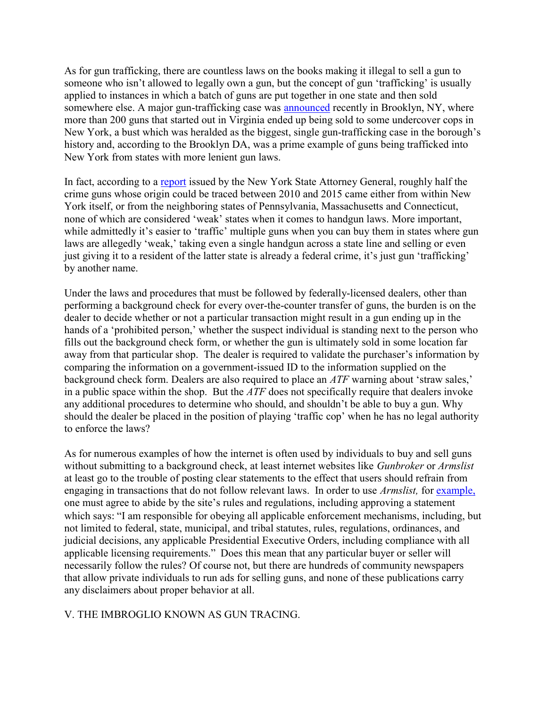As for gun trafficking, there are countless laws on the books making it illegal to sell a gun to someone who isn't allowed to legally own a gun, but the concept of gun 'trafficking' is usually applied to instances in which a batch of guns are put together in one state and then sold somewhere else. A major gun-trafficking case was announced recently in Brooklyn, NY, where more than 200 guns that started out in Virginia ended up being sold to some undercover cops in New York, a bust which was heralded as the biggest, single gun-trafficking case in the borough's history and, according to the Brooklyn DA, was a prime example of guns being trafficked into New York from states with more lenient gun laws.

In fact, according to a report issued by the New York State Attorney General, roughly half the crime guns whose origin could be traced between 2010 and 2015 came either from within New York itself, or from the neighboring states of Pennsylvania, Massachusetts and Connecticut, none of which are considered 'weak' states when it comes to handgun laws. More important, while admittedly it's easier to 'traffic' multiple guns when you can buy them in states where gun laws are allegedly 'weak,' taking even a single handgun across a state line and selling or even just giving it to a resident of the latter state is already a federal crime, it's just gun 'trafficking' by another name.

Under the laws and procedures that must be followed by federally-licensed dealers, other than performing a background check for every over-the-counter transfer of guns, the burden is on the dealer to decide whether or not a particular transaction might result in a gun ending up in the hands of a 'prohibited person,' whether the suspect individual is standing next to the person who fills out the background check form, or whether the gun is ultimately sold in some location far away from that particular shop. The dealer is required to validate the purchaser's information by comparing the information on a government-issued ID to the information supplied on the background check form. Dealers are also required to place an ATF warning about 'straw sales,' in a public space within the shop. But the  $ATF$  does not specifically require that dealers invoke any additional procedures to determine who should, and shouldn't be able to buy a gun. Why should the dealer be placed in the position of playing 'traffic cop' when he has no legal authority to enforce the laws?

As for numerous examples of how the internet is often used by individuals to buy and sell guns without submitting to a background check, at least internet websites like *Gunbroker* or *Armslist* at least go to the trouble of posting clear statements to the effect that users should refrain from engaging in transactions that do not follow relevant laws. In order to use Armslist, for example, one must agree to abide by the site's rules and regulations, including approving a statement which says: "I am responsible for obeying all applicable enforcement mechanisms, including, but not limited to federal, state, municipal, and tribal statutes, rules, regulations, ordinances, and judicial decisions, any applicable Presidential Executive Orders, including compliance with all applicable licensing requirements." Does this mean that any particular buyer or seller will necessarily follow the rules? Of course not, but there are hundreds of community newspapers that allow private individuals to run ads for selling guns, and none of these publications carry any disclaimers about proper behavior at all.

## V. THE IMBROGLIO KNOWN AS GUN TRACING.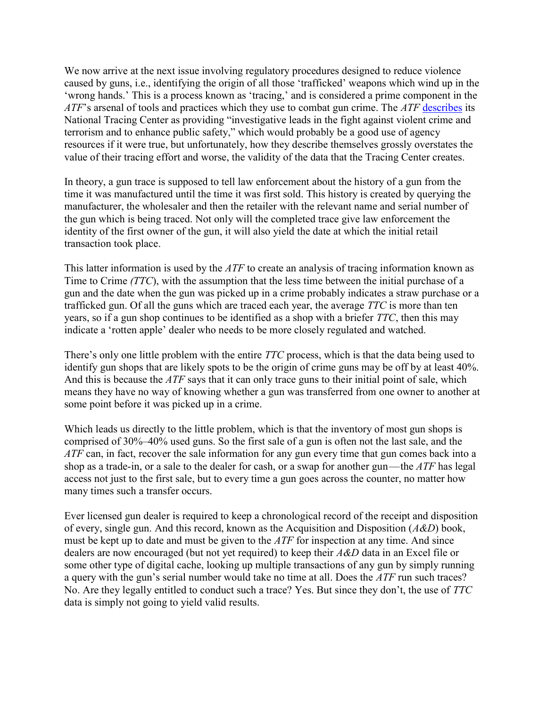We now arrive at the next issue involving regulatory procedures designed to reduce violence caused by guns, i.e., identifying the origin of all those 'trafficked' weapons which wind up in the 'wrong hands.' This is a process known as 'tracing,' and is considered a prime component in the ATF's arsenal of tools and practices which they use to combat gun crime. The ATF describes its National Tracing Center as providing "investigative leads in the fight against violent crime and terrorism and to enhance public safety," which would probably be a good use of agency resources if it were true, but unfortunately, how they describe themselves grossly overstates the value of their tracing effort and worse, the validity of the data that the Tracing Center creates.

In theory, a gun trace is supposed to tell law enforcement about the history of a gun from the time it was manufactured until the time it was first sold. This history is created by querying the manufacturer, the wholesaler and then the retailer with the relevant name and serial number of the gun which is being traced. Not only will the completed trace give law enforcement the identity of the first owner of the gun, it will also yield the date at which the initial retail transaction took place.

This latter information is used by the  $ATF$  to create an analysis of tracing information known as Time to Crime (TTC), with the assumption that the less time between the initial purchase of a gun and the date when the gun was picked up in a crime probably indicates a straw purchase or a trafficked gun. Of all the guns which are traced each year, the average TTC is more than ten years, so if a gun shop continues to be identified as a shop with a briefer TTC, then this may indicate a 'rotten apple' dealer who needs to be more closely regulated and watched.

There's only one little problem with the entire *TTC* process, which is that the data being used to identify gun shops that are likely spots to be the origin of crime guns may be off by at least 40%. And this is because the  $ATF$  says that it can only trace guns to their initial point of sale, which means they have no way of knowing whether a gun was transferred from one owner to another at some point before it was picked up in a crime.

Which leads us directly to the little problem, which is that the inventory of most gun shops is comprised of 30%–40% used guns. So the first sale of a gun is often not the last sale, and the ATF can, in fact, recover the sale information for any gun every time that gun comes back into a shop as a trade-in, or a sale to the dealer for cash, or a swap for another gun—the  $ATF$  has legal access not just to the first sale, but to every time a gun goes across the counter, no matter how many times such a transfer occurs.

Ever licensed gun dealer is required to keep a chronological record of the receipt and disposition of every, single gun. And this record, known as the Acquisition and Disposition  $(A&D)$  book, must be kept up to date and must be given to the  $ATF$  for inspection at any time. And since dealers are now encouraged (but not yet required) to keep their A&D data in an Excel file or some other type of digital cache, looking up multiple transactions of any gun by simply running a query with the gun's serial number would take no time at all. Does the ATF run such traces? No. Are they legally entitled to conduct such a trace? Yes. But since they don't, the use of TTC data is simply not going to yield valid results.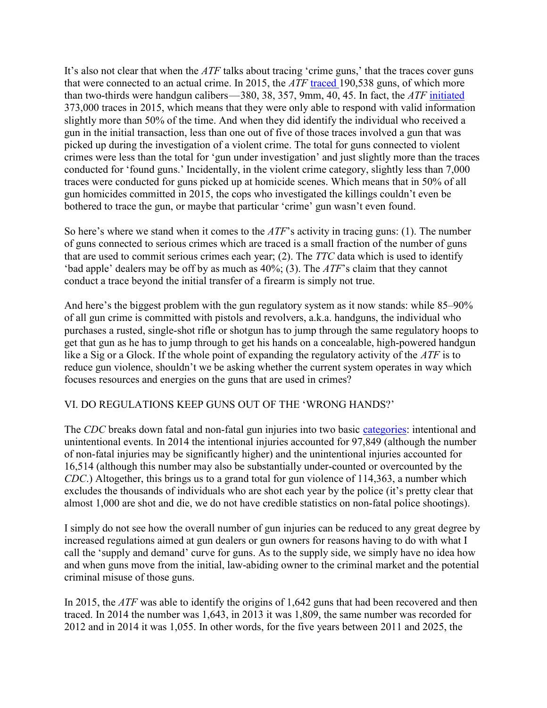It's also not clear that when the *ATF* talks about tracing 'crime guns,' that the traces cover guns that were connected to an actual crime. In 2015, the  $ATF$  traced 190,538 guns, of which more than two-thirds were handgun calibers—380, 38, 357, 9mm, 40, 45. In fact, the ATF initiated 373,000 traces in 2015, which means that they were only able to respond with valid information slightly more than 50% of the time. And when they did identify the individual who received a gun in the initial transaction, less than one out of five of those traces involved a gun that was picked up during the investigation of a violent crime. The total for guns connected to violent crimes were less than the total for 'gun under investigation' and just slightly more than the traces conducted for 'found guns.' Incidentally, in the violent crime category, slightly less than 7,000 traces were conducted for guns picked up at homicide scenes. Which means that in 50% of all gun homicides committed in 2015, the cops who investigated the killings couldn't even be bothered to trace the gun, or maybe that particular 'crime' gun wasn't even found.

So here's where we stand when it comes to the  $ATF$ 's activity in tracing guns: (1). The number of guns connected to serious crimes which are traced is a small fraction of the number of guns that are used to commit serious crimes each year; (2). The TTC data which is used to identify 'bad apple' dealers may be off by as much as  $40\%$ ; (3). The  $ATF$ 's claim that they cannot conduct a trace beyond the initial transfer of a firearm is simply not true.

And here's the biggest problem with the gun regulatory system as it now stands: while 85–90% of all gun crime is committed with pistols and revolvers, a.k.a. handguns, the individual who purchases a rusted, single-shot rifle or shotgun has to jump through the same regulatory hoops to get that gun as he has to jump through to get his hands on a concealable, high-powered handgun like a Sig or a Glock. If the whole point of expanding the regulatory activity of the *ATF* is to reduce gun violence, shouldn't we be asking whether the current system operates in way which focuses resources and energies on the guns that are used in crimes?

## VI. DO REGULATIONS KEEP GUNS OUT OF THE 'WRONG HANDS?'

The CDC breaks down fatal and non-fatal gun injuries into two basic categories: intentional and unintentional events. In 2014 the intentional injuries accounted for 97,849 (although the number of non-fatal injuries may be significantly higher) and the unintentional injuries accounted for 16,514 (although this number may also be substantially under-counted or overcounted by the CDC.) Altogether, this brings us to a grand total for gun violence of 114,363, a number which excludes the thousands of individuals who are shot each year by the police (it's pretty clear that almost 1,000 are shot and die, we do not have credible statistics on non-fatal police shootings).

I simply do not see how the overall number of gun injuries can be reduced to any great degree by increased regulations aimed at gun dealers or gun owners for reasons having to do with what I call the 'supply and demand' curve for guns. As to the supply side, we simply have no idea how and when guns move from the initial, law-abiding owner to the criminal market and the potential criminal misuse of those guns.

In 2015, the *ATF* was able to identify the origins of 1,642 guns that had been recovered and then traced. In 2014 the number was 1,643, in 2013 it was 1,809, the same number was recorded for 2012 and in 2014 it was 1,055. In other words, for the five years between 2011 and 2025, the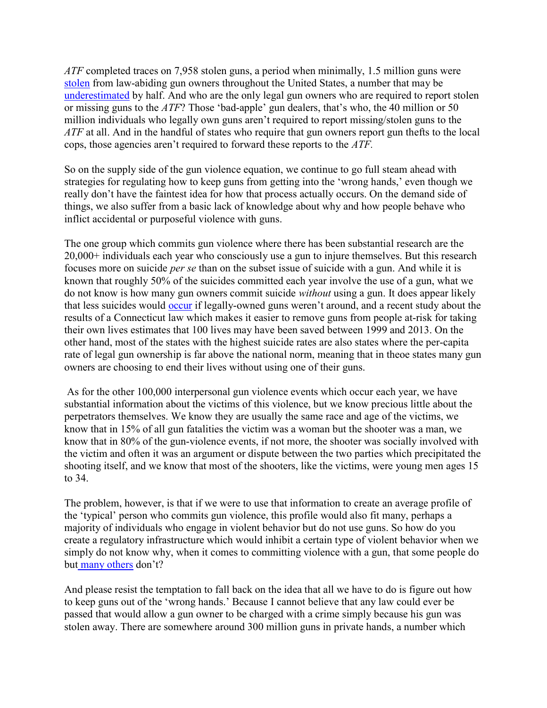ATF completed traces on 7,958 stolen guns, a period when minimally, 1.5 million guns were stolen from law-abiding gun owners throughout the United States, a number that may be underestimated by half. And who are the only legal gun owners who are required to report stolen or missing guns to the ATF? Those 'bad-apple' gun dealers, that's who, the 40 million or 50 million individuals who legally own guns aren't required to report missing/stolen guns to the ATF at all. And in the handful of states who require that gun owners report gun thefts to the local cops, those agencies aren't required to forward these reports to the ATF.

So on the supply side of the gun violence equation, we continue to go full steam ahead with strategies for regulating how to keep guns from getting into the 'wrong hands,' even though we really don't have the faintest idea for how that process actually occurs. On the demand side of things, we also suffer from a basic lack of knowledge about why and how people behave who inflict accidental or purposeful violence with guns.

The one group which commits gun violence where there has been substantial research are the 20,000+ individuals each year who consciously use a gun to injure themselves. But this research focuses more on suicide per se than on the subset issue of suicide with a gun. And while it is known that roughly 50% of the suicides committed each year involve the use of a gun, what we do not know is how many gun owners commit suicide without using a gun. It does appear likely that less suicides would occur if legally-owned guns weren't around, and a recent study about the results of a Connecticut law which makes it easier to remove guns from people at-risk for taking their own lives estimates that 100 lives may have been saved between 1999 and 2013. On the other hand, most of the states with the highest suicide rates are also states where the per-capita rate of legal gun ownership is far above the national norm, meaning that in theoe states many gun owners are choosing to end their lives without using one of their guns.

 As for the other 100,000 interpersonal gun violence events which occur each year, we have substantial information about the victims of this violence, but we know precious little about the perpetrators themselves. We know they are usually the same race and age of the victims, we know that in 15% of all gun fatalities the victim was a woman but the shooter was a man, we know that in 80% of the gun-violence events, if not more, the shooter was socially involved with the victim and often it was an argument or dispute between the two parties which precipitated the shooting itself, and we know that most of the shooters, like the victims, were young men ages 15 to 34.

The problem, however, is that if we were to use that information to create an average profile of the 'typical' person who commits gun violence, this profile would also fit many, perhaps a majority of individuals who engage in violent behavior but do not use guns. So how do you create a regulatory infrastructure which would inhibit a certain type of violent behavior when we simply do not know why, when it comes to committing violence with a gun, that some people do but many others don't?

And please resist the temptation to fall back on the idea that all we have to do is figure out how to keep guns out of the 'wrong hands.' Because I cannot believe that any law could ever be passed that would allow a gun owner to be charged with a crime simply because his gun was stolen away. There are somewhere around 300 million guns in private hands, a number which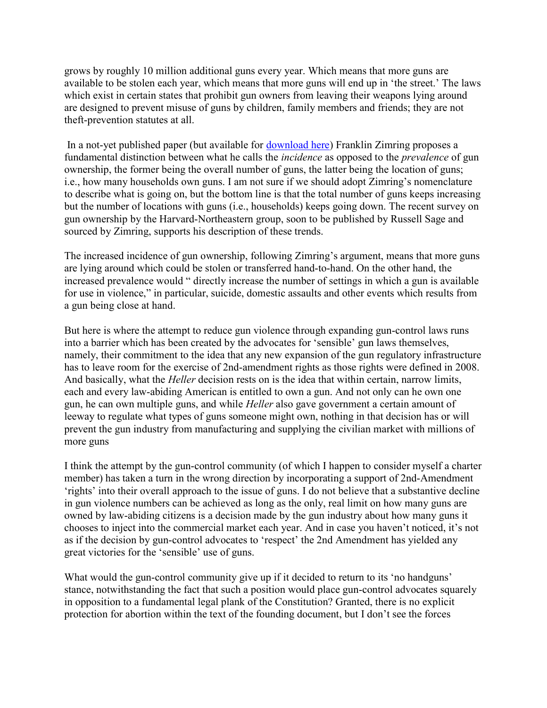grows by roughly 10 million additional guns every year. Which means that more guns are available to be stolen each year, which means that more guns will end up in 'the street.' The laws which exist in certain states that prohibit gun owners from leaving their weapons lying around are designed to prevent misuse of guns by children, family members and friends; they are not theft-prevention statutes at all.

 In a not-yet published paper (but available for download here) Franklin Zimring proposes a fundamental distinction between what he calls the incidence as opposed to the prevalence of gun ownership, the former being the overall number of guns, the latter being the location of guns; i.e., how many households own guns. I am not sure if we should adopt Zimring's nomenclature to describe what is going on, but the bottom line is that the total number of guns keeps increasing but the number of locations with guns (i.e., households) keeps going down. The recent survey on gun ownership by the Harvard-Northeastern group, soon to be published by Russell Sage and sourced by Zimring, supports his description of these trends.

The increased incidence of gun ownership, following Zimring's argument, means that more guns are lying around which could be stolen or transferred hand-to-hand. On the other hand, the increased prevalence would " directly increase the number of settings in which a gun is available for use in violence," in particular, suicide, domestic assaults and other events which results from a gun being close at hand.

But here is where the attempt to reduce gun violence through expanding gun-control laws runs into a barrier which has been created by the advocates for 'sensible' gun laws themselves, namely, their commitment to the idea that any new expansion of the gun regulatory infrastructure has to leave room for the exercise of 2nd-amendment rights as those rights were defined in 2008. And basically, what the *Heller* decision rests on is the idea that within certain, narrow limits, each and every law-abiding American is entitled to own a gun. And not only can he own one gun, he can own multiple guns, and while Heller also gave government a certain amount of leeway to regulate what types of guns someone might own, nothing in that decision has or will prevent the gun industry from manufacturing and supplying the civilian market with millions of more guns

I think the attempt by the gun-control community (of which I happen to consider myself a charter member) has taken a turn in the wrong direction by incorporating a support of 2nd-Amendment 'rights' into their overall approach to the issue of guns. I do not believe that a substantive decline in gun violence numbers can be achieved as long as the only, real limit on how many guns are owned by law-abiding citizens is a decision made by the gun industry about how many guns it chooses to inject into the commercial market each year. And in case you haven't noticed, it's not as if the decision by gun-control advocates to 'respect' the 2nd Amendment has yielded any great victories for the 'sensible' use of guns.

What would the gun-control community give up if it decided to return to its 'no handguns' stance, notwithstanding the fact that such a position would place gun-control advocates squarely in opposition to a fundamental legal plank of the Constitution? Granted, there is no explicit protection for abortion within the text of the founding document, but I don't see the forces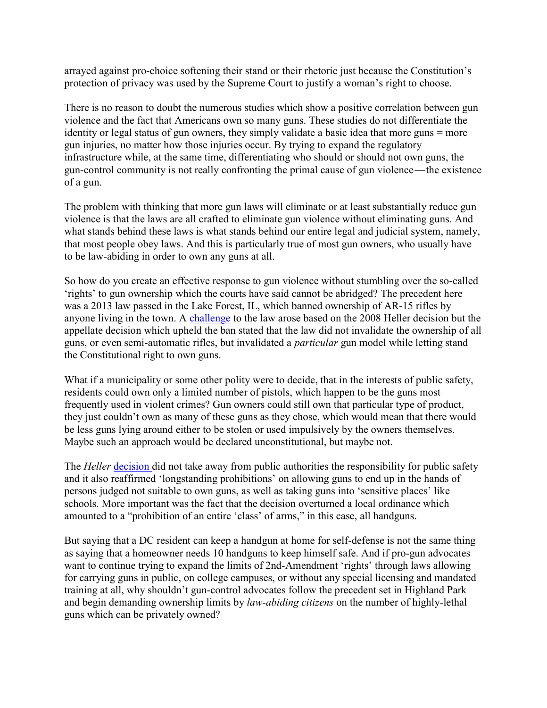arrayed against pro-choice softening their stand or their rhetoric just because the Constitution's protection of privacy was used by the Supreme Court to justify a woman's right to choose.

There is no reason to doubt the numerous studies which show a positive correlation between gun violence and the fact that Americans own so many guns. These studies do not differentiate the identity or legal status of gun owners, they simply validate a basic idea that more guns = more gun injuries, no matter how those injuries occur. By trying to expand the regulatory infrastructure while, at the same time, differentiating who should or should not own guns, the gun-control community is not really confronting the primal cause of gun violence—the existence of a gun.

The problem with thinking that more gun laws will eliminate or at least substantially reduce gun violence is that the laws are all crafted to eliminate gun violence without eliminating guns. And what stands behind these laws is what stands behind our entire legal and judicial system, namely, that most people obey laws. And this is particularly true of most gun owners, who usually have to be law-abiding in order to own any guns at all.

So how do you create an effective response to gun violence without stumbling over the so-called 'rights' to gun ownership which the courts have said cannot be abridged? The precedent here was a 2013 law passed in the Lake Forest, IL, which banned ownership of AR-15 rifles by anyone living in the town. A challenge to the law arose based on the 2008 Heller decision but the appellate decision which upheld the ban stated that the law did not invalidate the ownership of all guns, or even semi-automatic rifles, but invalidated a particular gun model while letting stand the Constitutional right to own guns.

What if a municipality or some other polity were to decide, that in the interests of public safety, residents could own only a limited number of pistols, which happen to be the guns most frequently used in violent crimes? Gun owners could still own that particular type of product, they just couldn't own as many of these guns as they chose, which would mean that there would be less guns lying around either to be stolen or used impulsively by the owners themselves. Maybe such an approach would be declared unconstitutional, but maybe not.

The Heller decision did not take away from public authorities the responsibility for public safety and it also reaffirmed 'longstanding prohibitions' on allowing guns to end up in the hands of persons judged not suitable to own guns, as well as taking guns into 'sensitive places' like schools. More important was the fact that the decision overturned a local ordinance which amounted to a "prohibition of an entire 'class' of arms," in this case, all handguns.

But saying that a DC resident can keep a handgun at home for self-defense is not the same thing as saying that a homeowner needs 10 handguns to keep himself safe. And if pro-gun advocates want to continue trying to expand the limits of 2nd-Amendment 'rights' through laws allowing for carrying guns in public, on college campuses, or without any special licensing and mandated training at all, why shouldn't gun-control advocates follow the precedent set in Highland Park and begin demanding ownership limits by law-abiding citizens on the number of highly-lethal guns which can be privately owned?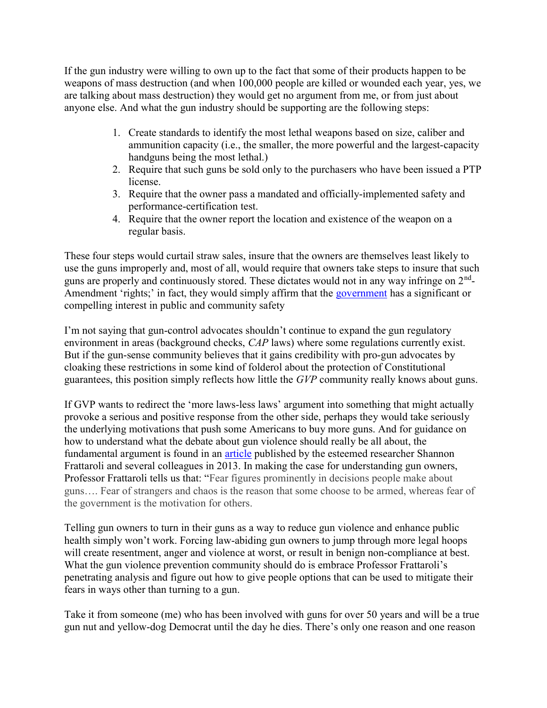If the gun industry were willing to own up to the fact that some of their products happen to be weapons of mass destruction (and when 100,000 people are killed or wounded each year, yes, we are talking about mass destruction) they would get no argument from me, or from just about anyone else. And what the gun industry should be supporting are the following steps:

- 1. Create standards to identify the most lethal weapons based on size, caliber and ammunition capacity (i.e., the smaller, the more powerful and the largest-capacity handguns being the most lethal.)
- 2. Require that such guns be sold only to the purchasers who have been issued a PTP license.
- 3. Require that the owner pass a mandated and officially-implemented safety and performance-certification test.
- 4. Require that the owner report the location and existence of the weapon on a regular basis.

These four steps would curtail straw sales, insure that the owners are themselves least likely to use the guns improperly and, most of all, would require that owners take steps to insure that such guns are properly and continuously stored. These dictates would not in any way infringe on  $2<sup>nd</sup>$ -Amendment 'rights;' in fact, they would simply affirm that the government has a significant or compelling interest in public and community safety

I'm not saying that gun-control advocates shouldn't continue to expand the gun regulatory environment in areas (background checks, CAP laws) where some regulations currently exist. But if the gun-sense community believes that it gains credibility with pro-gun advocates by cloaking these restrictions in some kind of folderol about the protection of Constitutional guarantees, this position simply reflects how little the GVP community really knows about guns.

If GVP wants to redirect the 'more laws-less laws' argument into something that might actually provoke a serious and positive response from the other side, perhaps they would take seriously the underlying motivations that push some Americans to buy more guns. And for guidance on how to understand what the debate about gun violence should really be all about, the fundamental argument is found in an **article** published by the esteemed researcher Shannon Frattaroli and several colleagues in 2013. In making the case for understanding gun owners, Professor Frattaroli tells us that: "Fear figures prominently in decisions people make about guns…. Fear of strangers and chaos is the reason that some choose to be armed, whereas fear of the government is the motivation for others.

Telling gun owners to turn in their guns as a way to reduce gun violence and enhance public health simply won't work. Forcing law-abiding gun owners to jump through more legal hoops will create resentment, anger and violence at worst, or result in benign non-compliance at best. What the gun violence prevention community should do is embrace Professor Frattaroli's penetrating analysis and figure out how to give people options that can be used to mitigate their fears in ways other than turning to a gun.

Take it from someone (me) who has been involved with guns for over 50 years and will be a true gun nut and yellow-dog Democrat until the day he dies. There's only one reason and one reason